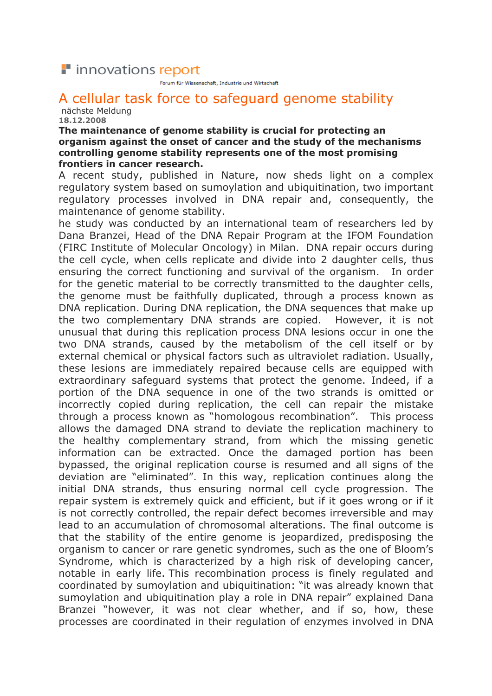## lacktriangleright innovations report

Forum für Wissenschaft, Industrie und Wirtschaft

## A cellular task force to safeguard genome stability nächste Meldung

**18.12.2008**

## **The maintenance of genome stability is crucial for protecting an organism against the onset of cancer and the study of the mechanisms controlling genome stability represents one of the most promising frontiers in cancer research.**

A recent study, published in Nature, now sheds light on a complex regulatory system based on sumoylation and ubiquitination, two important regulatory processes involved in DNA repair and, consequently, the maintenance of genome stability.

he study was conducted by an international team of researchers led by Dana Branzei, Head of the DNA Repair Program at the IFOM Foundation (FIRC Institute of Molecular Oncology) in Milan. DNA repair occurs during the cell cycle, when cells replicate and divide into 2 daughter cells, thus ensuring the correct functioning and survival of the organism. In order for the genetic material to be correctly transmitted to the daughter cells, the genome must be faithfully duplicated, through a process known as DNA replication. During DNA replication, the DNA sequences that make up the two complementary DNA strands are copied. However, it is not unusual that during this replication process DNA lesions occur in one the two DNA strands, caused by the metabolism of the cell itself or by external chemical or physical factors such as ultraviolet radiation. Usually, these lesions are immediately repaired because cells are equipped with extraordinary safeguard systems that protect the genome. Indeed, if a portion of the DNA sequence in one of the two strands is omitted or incorrectly copied during replication, the cell can repair the mistake through a process known as "homologous recombination". This process allows the damaged DNA strand to deviate the replication machinery to the healthy complementary strand, from which the missing genetic information can be extracted. Once the damaged portion has been bypassed, the original replication course is resumed and all signs of the deviation are "eliminated". In this way, replication continues along the initial DNA strands, thus ensuring normal cell cycle progression. The repair system is extremely quick and efficient, but if it goes wrong or if it is not correctly controlled, the repair defect becomes irreversible and may lead to an accumulation of chromosomal alterations. The final outcome is that the stability of the entire genome is jeopardized, predisposing the organism to cancer or rare genetic syndromes, such as the one of Bloom's Syndrome, which is characterized by a high risk of developing cancer, notable in early life. This recombination process is finely regulated and coordinated by sumoylation and ubiquitination: "it was already known that sumoylation and ubiquitination play a role in DNA repair" explained Dana Branzei "however, it was not clear whether, and if so, how, these processes are coordinated in their regulation of enzymes involved in DNA